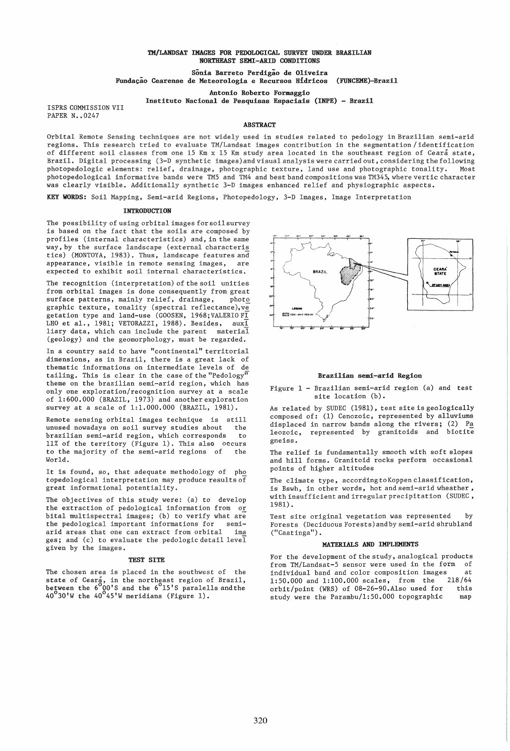## TM/LANDSAT IMAGES FOR PEDOLOGICAL SURVEY UNDER BRAZILIAN NORTHEAST SEMI-ARID CONDITIONS

Sonia Barreto Perdigao de Oliveira Fundação Cearense de Meteorologia e Recursos Hidricos (FUNCEME)-Brazil

Antonio Roberto Formaggio

Instituto Nacional de Pesquisas Espaciais (INPE) - Brazil

ISPRS COMMISSION VII PAPER N. 0247

## **ABSTRACT**

Orbital Remote Sensing techniques are not widely used in studies related to pedology in Brazilian semi-arid regions. This research tried to evaluate TM/Landsat images contribution in the segmentation/identification of different soil classes from one 15 Km x 15 Km study area located in the southeast region of Ceara state, Brazil. Digital processing (3-D synthetic images) and visual analysis were carried out, considering the following photopedologic elements: relief, drainage, photographic texture, land use and photographic tonality. photopedological informative bands were TM5 and TM4 and best band compositions was TM345, where vertic character .<br>was clearly visible. Additionally synthetic 3-D images enhanced relief and physiographic aspects.

KEY WORDS: Soil Mapping, Semi-arid Regions, Photopedology, 3-D Images, Image Interpretation

### **INTRODUCTION**

The possibility of using orbital images for soil survey is based on the fact that the soils are composed by profiles (internal characteristics) and, in the same way, by the surface landscape (external characteris tics) (MONTOYA, 1983). Thus, landscape features and appearance, visible in remote sensing images, are expected to exhibit soil internal characteristics.

The recognition (interpretation) of the soil unities from orbital images is done consequently from great surface patterns, mainly relief, drainage, photo graphic texture, tonality (spectral reflectance),  $v\overline{e}$ getation type and land-use (GOOSEN, 1968; VALERIO FI LHO et al., 1981; VETORAZZI, 1988). Besides,  $aux\overline{1}$ liary data, which can include the parent material (geology) and the geomorphology, must be regarded.

In a country said to have "continental" territorial dimensions, as in Brazil, there is a great lack of thematic informations on intermediate levels of de tailing. This is clear in the case of the "Pedology $^{\overline{\mathsf{u}}}$ theme on the brazilian semi-arid region, which has only one exploration/recognition survey at a scale of 1:600.000 (BRAZIL, 1973) and another exploration survey at a scale of 1:1.000.000 (BRAZIL, 1981).

Remote sensing orbital images technique is still unused nowadays on soil survey studies about brazilian semi-arid region, which corresponds to 11% of the territory (Figure 1). This also occurs to the majority of the semi-arid regions of the World.

It is found, so, that adequate methodology of pho topedological interpretation may produce results of great informational potentiality.

The objectives of this study were: (a) to develop the extraction of pedological information from or bital multispectral images; (b) to verify what are the pedological important informations for semiarid areas that one can extract from orbital ima ges; and (c) to evaluate the pedologic detail level given by the images.

#### TEST SITE

The chosen area is placed in the southwest of the state of Ceara, in the northeast region of Brazil,<br>between the 6 QO'S and the 6 15'S paralells and the  $40^{\circ}30'$ W the  $40^{\circ}45'$ W meridians (Figure 1).



#### Brazilian semi-arid Region

Figure 1 - Brazilian semi-arid region (a) and test site location (b).

As related by SUDEC (1981), test site is geologically composed of: (1) Cenozoic, represented by alluviums displaced in narrow bands along the rivers; (2) Pa leozoic, represented by granitoids and biotite gneiss.

The relief is fundamentally smooth with soft slopes and hill forms. Granitoid rocks perform occasional points of higher altitudes

The climate type, accordingtoKoppenclassification, is Bswh, in other words, hot and semi-arid wheather, with insufficient and irregular precipitation (SUDEC, 1981).

Test site original vegetation was represented by Forests (Deciduous Forests)andby semi-arid shrubland ("Caatinga").

#### MATERIALS AND IMPLEMENTS

For the development of the study, analogical products from TM/Landsat-5 sensor were used in the form of individual band and color composition images 1:50.000 and 1:100.000 scales, from the 218/64 orbit/point (WRS) of 08-26-90.Also used for this study were the  $Parambu/1:50.000$  topographic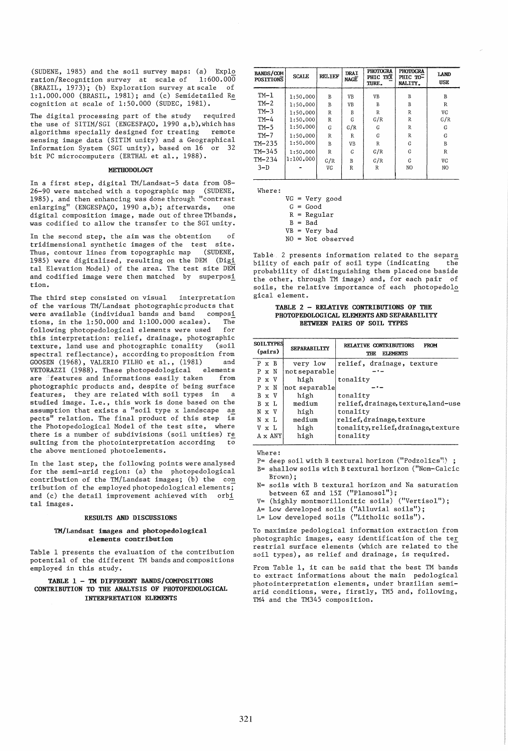(SUDENE, 1985) and the soil survey maps: (a) Explo<br>ration/Recognition survey at scale of  $1:600.000$ ration/Recognition survey at scale of (BRAZIL, 1973); (b) Exploration survey at scale of 1:1.000.000 (BRASIL, 1981); and (c) Semidetailed Re cognition at scale of  $1:50.000$  (SUDEC, 1981).

The digital processing part of the study required the use of SITIM/SGI (ENGESPACO, 1990 a,b),whichhas algorithms specially designed for treating remote sensing image data (SITIM unity) and a Geographical Information System (SGI unity), based on 16 or 32 bit PC microcomputers (ERTHAL et al., 1988).

### **METHODOLOGY**

In a first step, digital TM/Landsat-5 data from 08- 26-90 were matched with a topographic map (SUDENE, 1985), and then enhancing was done through "contrast enlarging" (ENGESPAÇO, 1990 a,b); afterwards, one digital composition image, made out of three TMbands. was codified to allow the transfer to the SGI unity.

In the second step. the aim was the obtention of tridimensional synthetic images of the test site. Thus, contour lines from topographic map 1985) were digitalized, resulting on the DEM (Digi tal Elevation Model) of the area. The test site DEM and codified image were then matched by superposi tion.

The third step consisted on visual interpretation of the various TM/Landsat photographic products that were available (individual bands and band composi tions, in the 1:50.000 and 1:100.000 scales). The following photopedological elements were used for this interpretation: relief, drainage, photographic texture, land use and photographic tonality spectral reflectance), according to proposition from GOOSEN (1968), VALERIO FILHO et al., (1981) and VETORAZZI (1988). These photopedological elements are features and informations easily taken from photographic products and, despite of being surface features, they are related with soil types in a studied image. I.e., this work is done based on the assumption that exists a "soil type x landscape as pects" relation. The final product of this step is the Photopedological Model of the test site, where there is a number of subdivisions (soil unities) re suIting from the photointerpretation according to the above mentioned photoelements.

In the last step, the following points were analysed for the semi-arid region: (a) the photopedological contribution of the TM/Landsat images; (b) the con tribution of the employed photopedological elements;<br>and (c) the detail improvement achieved with orbi and (c) the detail improvement achieved with tal images.

#### RESULTS AND DISCUSSIONS

### TM/Landsat images and photopedological elements contribution

Table 1 presents the evaluation of the contribution potential of the different TM bands and compositions employed in this study.

# TABLE 1 - TM DIFFERENT BANDS/COMPOSITIONS CONTRIBUTION TO TIlE ANALYSIS OF PHOTOPEDOLOGICAL INTERPRETATION ELEMENTS

| <b>BANDS/COM</b><br><b>POSITIONS</b> | <b>SCALE</b> | <b>RELIEF</b>  | <b>DRAI</b><br>NAGE | <b>PHOTOGRA</b><br>PHIC TEX<br>TURE. | <b>PHOTOGRA</b><br>PHIC TO-<br>NALITY. | <b>LAND</b><br><b>USE</b> |
|--------------------------------------|--------------|----------------|---------------------|--------------------------------------|----------------------------------------|---------------------------|
| $TM-1$                               | 1:50.000     | B              | VB                  | VB                                   | B                                      | B                         |
| $TM-2$                               | 1:50.000     | B              | VB                  | B                                    | B                                      | R                         |
| $TM-3$                               | 1:50.000     | $\mathbb{R}$   | B                   | $\mathbb{R}$                         | R                                      | VG                        |
| $TM-4$                               | 1:50.000     | R              | G                   | G/R                                  | R                                      | G/R                       |
| $TM-5$                               | 1:50.000     | G              | G/R                 | G                                    | $\mathbb{R}$                           | G                         |
| $TM-7$                               | 1:50.000     | $\overline{R}$ | R                   | G                                    | R                                      | G                         |
| $TM-235$                             | 1:50.000     | B              | VB                  | $\mathbb{R}$                         | G                                      | B                         |
| TM-345                               | 1:50.000     | $\overline{R}$ | G                   | G/R                                  | G                                      | $\mathbb{R}$              |
| $TM-234$                             | 1:100.000    | G/R            | B                   | G/R                                  | G                                      | VG                        |
| $3-D$                                |              | VG             | R                   | $\mathbb{R}$                         | NO                                     | NO.                       |
|                                      |              |                |                     |                                      |                                        |                           |

Where:

VG = Very good  $G = Good$  $R = Regular$ 

 $B = Bad$ 

 $VB = Very bad$ 

 $NO = Not observed$ 

Table 2 presents information related to the separa<br>bility of each pair of soil type (indicating the bility of each pair of soil type (indicating probability of distinguishing them placed one baside the other, through TM image) and, for each pair of soils, the relative importance of each photopedolo gical element.

## TABLE 2 - RELATIVE CONTRIBUTIONS OF THE PHOTOPEDOLOGICAL ELEMENTS AND SEPARABILITY BETWEEN PAIRS OF SOIL TYPES

| <b>SOIL TYPES</b><br>(pairs) |              |                | SEPARABTLITY  | RELATIVE CONTRIBUTIONS<br><b>FROM</b><br><b>ELEMENTS</b><br>THE. |  |  |  |  |
|------------------------------|--------------|----------------|---------------|------------------------------------------------------------------|--|--|--|--|
|                              | $P \times B$ |                | very low      | relief, drainage, texture                                        |  |  |  |  |
|                              | P x N        |                | not separable |                                                                  |  |  |  |  |
|                              | P x V        |                | high          | tonality                                                         |  |  |  |  |
|                              | P x N        |                | not separable |                                                                  |  |  |  |  |
|                              | B x V        |                | high          | tonality                                                         |  |  |  |  |
|                              | B x L        |                | medium        | relief, drainage, texture, land-use                              |  |  |  |  |
|                              | N x V        |                | high          | tonality                                                         |  |  |  |  |
|                              | N x L        |                | medium        | relief, drainage, texture                                        |  |  |  |  |
|                              | V x L        |                | high          | tonality, relief, drainage, texture                              |  |  |  |  |
|                              |              | $A \times ANY$ | high          | tonality                                                         |  |  |  |  |
|                              |              |                |               |                                                                  |  |  |  |  |

Where:

P= deep soil with B textural horizon ("Podzolics")

B= shallow soils with B textural horizon ("Non-Calcic Brown);

- N= soils with B textural horizon and Na saturation between  $6\%$  and  $15\%$  ("Planosol");
- V= (highly montmorillonitic soils) ("Vertisol");
- A= Low developed soils ("Alluvial soils");
- L= Low developed soils ("Litholic soils").

To maximize pedological information extraction from photographic images, easy identification of the ter restrial surface elements (which are related to the soil types), as relief and drainage, is required.

From Table 1, it can be said that the best TM bands to extract informations about the main pedological photointerpretation elements, under brazilian semiarid conditions, were, firstly, TM5 and, following, TM4 and the TM345 composition.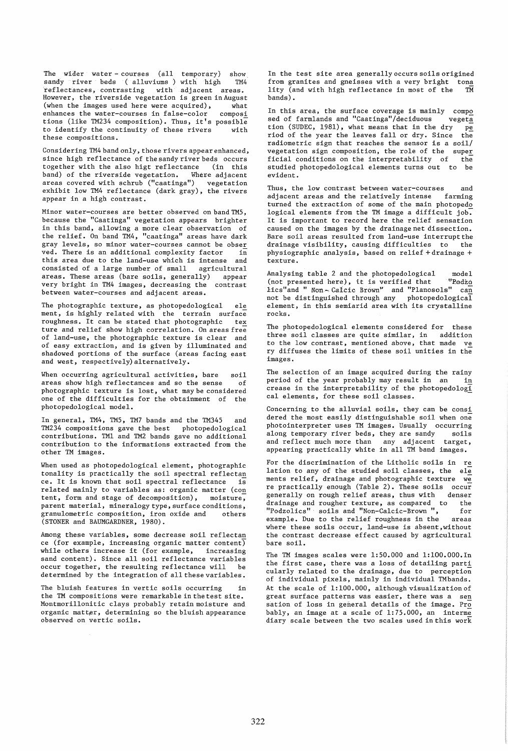The wider water-courses (all temporary) show<br>sandy river beds (calluviums) with high TM4 sandy river beds (alluviums) with high reflectances, contrasting with adjacent areas. However, the riverside vegetation is green in August (when the images used here were acquired), what enhances the water-courses in false-color composi tions (like TM234 composition). Thus, it's possible<br>to identify the continuity of these rivers with to identify the continuity of these rivers these compositions.

Considering TM4 band only, those rivers appear enhanced, since high reflectance of the sandy river beds occurs<br>together with the also higt reflectance (in this together with the also higt reflectance (in this<br>band) of the riverside vegetation. Where adjacent band) of the riverside vegetation. areas covered with schrub ("caatinga") vegetation exhibit low TM4 reflectance (dark gray), the rivers appear in a higb contrast.

Minor water-courses are better observed on band TM5, because the "Caatinga" vegetation appears brighter in this band, allowing a more clear observation of the relief. On band TM4, "caatinga" areas have dark gray levels, so minor water-courses cannot be obser ved. There is an additional complexity factor  $\overline{in}$  this area due to the land-use which is intense and this area due to the land-use which is intense consisted of a large number of small agricultural areas. These areas (bare soils, generally) appear very bright in TM4 images, decreasing the contrast between water-courses and adjacent areas.

The photographic texture, as photopedological ele ment, is highly related with the terrain surface<br>roughness. It can be stated that photographic tex roughness. It can be stated that photographic ture and relief show high correlation. On areas free of land-use, the photographic texture is clear and of easy extraction, and is given by illuminated and shadowed portions of the surface (areas facing east and west, respectively) alternatively.

When occurring agricultural activities, bare soil<br>areas show high reflectances and so the sense of areas show high reflectances and so the sense photographic texture is lost, what may be considered one of the difficulties for the obtainment of the photopedological model.

In general, TM4, TM5, TM7 bands and the TM345 and TM234 compositions gave the best photopedological contributions. TMI and TM2 bands gave no additional contribution to the informations extracted from the other TM images.

When used as photopedological element, photographic tonality is practically the soil spectral reflectan ce. It is known that soil spectral reflectance is related mainly to variables as: organic matter (con tent, form and stage of decomposition), moisture, parent material, mineralogy type, surface conditions, granulometric composition, iron oxide and others (STONER and BAUMGARDNER, 1980).

Among these variables, some decrease soil reflectan ce (for example, increasing organic matter content) while others increase it (for example, increasing sand content). Since all soil reflectance variables occur together, the resulting reflectance will be determined by the integration of all these variables.

The bluish features in vertic soils occurring the TM compositions were remarkable in the test site. Montmorillonitic clays probably retain moisture and organic matter, determining so the bluish appearance observed on vertic soils.

In the test site area generally occurs soils origined from granites and gneisses with a very bright tona<br>lity (and with high reflectance in most of the TM lity (and with high reflectance in most of the bands).

In this area, the surface coverage is mainly composed of farmlands and "Caatinga"/deciduous vegeta sed of farmlands and "Caatinga"/deciduous tion (SUDEC, 1981), what means that in the dry  $p$ e riod of the year the leaves fall or dry. Since the radiometric sign that reaches the sensor is a soil/ vegetation sign composition, the role of the super<br>ficial conditions on the interpretability of the studied photopedological elements turns out to be evident.

Thus, the low contrast between water-courses and<br>adjacent areas and the relatively intense farming adjacent areas and the relatively intense turned the extraction of some of the main photopedo logical elements from the TM image a difficult job. It is important to record here the relief sensation caused on the images by the drainage net dissection. Bare soil areas resulted from land-use interrupt the drainage visibility, causing difficulties to the physiographic analysis, based on relief + drainage + texture.

Analysing table 2 and the photopedological model<br>(not presented here), it is verified that "Podzo (not presented here), it is verified that lics"and " Non- Calcic Brown" and "Planosols" can<br>not be distinguished through any photopedological not be distinguished through any element, in this semiarid area with its crystalline rocks.

The photopedological elements considered for these three soil classes are quite similar, in addition to the low contrast, mentioned above, that made ve ry diffuses the limits of these soil unities in the images.

The selection of an image acquired during the rainy<br>period of the year probably may result in an in period of the year probably may result in an crease in the interpretability of the photopedologi cal elements, for these soil classes.

Concerning to the alluvial soils, they can be consi dered the most easily distinguishable soil when one photointerpreter uses TM images. Usually occurring along temporary river beds, they are sandy soils<br>and reflect much more than any adjacent target, and reflect much more than appearing practically white in all TM band images.

For the discrimination of the Litholic soils in re lation to any of the studied soil classes, the  $e1e$ ments relief, drainage and photographic texture we mento controlly enough (Table 2). These soils occur<br>generally on rough relief areas, thus with denser generally on rough relief areas, thus with drainage and rougher texture, as compared to the "Podzolics" soils and "Non-Calcic-Brown ", for example. Due to the relief roughness in the areas where these soils occur, land-use is absent,without the contrast decrease effect caused by agricultural bare soil.

The TM images scales were 1:50.000 and l:lOO.OOO.In the first case, there was a loss of detailing parti cularly related to the drainage, due to perception of individual pixels, mainly in individual TMbands. At the scale of 1:100.000, although visualization of great surface patterns was easier, there was a sen sation of loss in general details of the image. Pro bably, an image at a scale of 1:75.000, an interme diary scale between the two scales used in this work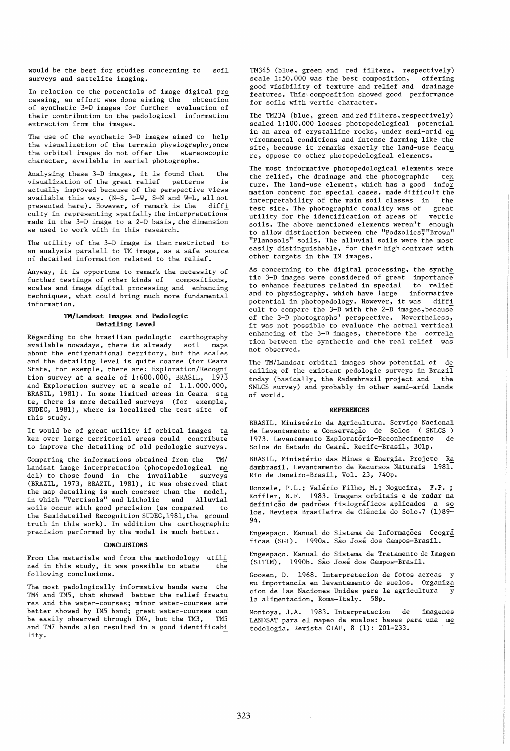would be the best for studies concerning to soil surveys and sattelite imaging.

In relation to the potentials of image digital pro cessing, an effort was done aiming the  $\overline{a}$  obtention of synthetic 3-D images for further evaluation of their contribution to the pedological information extraction from the images.

The use of the synthetic 3-D images aimed to help the visualization of the terrain physiography, once the orbital images do not offer the stereoscopic character, available in aerial photographs.

Analysing these 3-D images, it is found that the<br>visualization of the great relief patterns is visualization of the great relief patterns actually improved because of the perspective views available this way. (N-S, L-W, S-N and W-L, all not presented here). However, of remark is the diffi culty in representing spatially the interpretations made in the 3-D image to a 2-D basis, the dimension we used to work with in this research.

The utility of the 3-D image is then restricted to an analysis paralell to TM image, as a safe source of detailed information related to the relief.

Anyway, it is opportune to remark the necessity of further testings of other kinds of compositions, scales and image digital processing and enhancing techniques, what could bring much more fundamental information.

## TK/Landsat Images and Pedologic Detailing Level

Regarding to the brasilian pedologic carthography available nowadays, there is already soil maps about the entirenational territory, but the scales and the detailing level is quite coarse (for Ceara State, for exemple, there are: Exploration/Recogni tion survey at a scale of  $1:600.000$ , BRASIL,  $197\overline{3}$ and Exploration survey at a scale of 1.1.000.000, BRASIL, 1981). In some limited areas in Ceara sta te, there is more detailed surveys (for exemple, SUDEC, 1981), where is localized the test site of this study.

It would be of great utility if orbital images ta ken over large territorial areas could contribute to improve the detailing of old pedologic surveys.

Comparing the informations obtained from the TM/ Landsat image interpretation (photopedological mo del) to those found in the invailable surveys (BRAZIL, 1973, BRAZIL, 1981), it was observed that the map detailing is much coarser than the model, in which "Vertisols" and Litholic and Alluvial soils occur with good precision (as compared to the Semidetailed Recognition SUDEC,198l,the ground truth in this work). In addition the carthographic precision performed by the model is much better.

### CONCLUSIONS

From the materials and from the methodology utili zed in this study, it was possible to state following conclusions. the

The most pedologically informative bands were the TM4 and TM5, that showed better the relief freatu res and the water-courses; minor water-courses are better showed by TM5 band; great water-courses can be easily observed through TM4, but the TM3, TM5 and TM7 bands also resulted in a good identificabi lity.

TM345 (blue, green and red filters, respectively) scale 1:50.000 was the best composition, offering good visibility of texture and relief and drainage features. This composition showed good performance for soils with vertic character.

The TM234 (blue, green and red filters, respectively) scaled 1:100.000 looses photopedological potential in an area of crystalline rocks, under semi-arid en vironmental conditions and intense farming like the site, because it remarks exactly the land-use featu re, oppose to other photopedological elements. -

The most informative photopedological elements were<br>the relief, the drainage and the photographic tex the relief, the drainage and the photographic ture. The land-use element, which has a good infor mation content for special cases, made difficult the interpretability of the main soil classes in the test site. The photographic tonality was of great utility for the identification of areas of vertic soils. The above mentioned elements weren't enough to allow distinction between the "Podzolics", "Brown" "Planosols" soils. The alluvial soils were the most easily distinguishable, for their high contrast with other targets in the TM images.

As concerning to the digital processing, the synthe tic 3-D images were considered of great importance to enhance features related in special to relief<br>and to physiography, which have large informative and to physiography, which have large potential in photopedology. However, it was diffi cult to compare the 3-D with the 2-D images, because of the 3-D photographs' perspective. Nevertheless, it was not possible to evaluate the actual vertical enhancing of the 3-D images, therefore the correla tion between the synthetic and the real relief was not observed.

The TM/Landsat orbital images show potential of de tailing of the existent pedologic surveys in Brazil today (basically, the Radambrazil project and the SNLCS survey) and probably in other semi-arid lands of world.

## REFERENCES

BRASIL. Ministerio da Agricultura. Serviço Nacional de Levantamento e Conservação de Solos (SNLCS) 1973. Levantamento Exploratorio-Reconhecimento de Solos do Estado do Ceara. Recife-Brasil, 30lp.

BRASIL. Ministerio das Minas e Energia. Projeto Ra dambrasil. Levantamento de Recursos Naturais 1981. Rio de Janeiro-Brasil, Vol. 23, 740p.

Donzele, P.L.; Valerio Filho, M.; Nogueira, F.P.; Koffler, N.F. 1983. Imagens orbitais e de radar na definição de padrões fisiográficos aplicados a so los. Revista Brasileira de Ciência do Solo.7 (1)89-94.

Engespaço. Manual do Sistema de Informações Geográ ficas (SGI). 1990a. Sao Jose dos Campos-Brasil.

Engespaço. Manual do Sistema de Tratamento de Imagem (SITIM). 1990b. Sao Jose dos Campos-Brasil.

Goosen, D. 1968. Interpretacion de fotos aereas y su importancia en levantamento de suelos. Organiza cion de las Naciones Unidas para la agricultura  $\overline{y}$ la alimentacion, Roma-Italy. 58p.

Montoya, J.A. 1983. Interpretacion de imagenes LANDSAT para el mapeo de suelos: bases para una me todologia. Revista CIAF, 8 (1): 201-233.